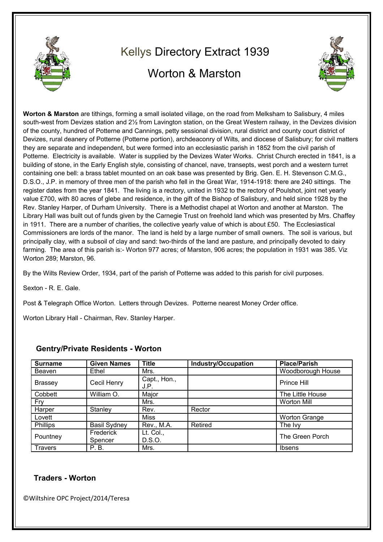

## Kellys Directory Extract 1939 Worton & Marston



**Worton & Marston** are tithings, forming a small isolated village, on the road from Melksham to Salisbury, 4 miles south-west from Devizes station and 2½ from Lavington station, on the Great Western railway, in the Devizes division of the county, hundred of Potterne and Cannings, petty sessional division, rural district and county court district of Devizes, rural deanery of Potterne (Potterne portion), archdeaconry of Wilts, and diocese of Salisbury; for civil matters they are separate and independent, but were formed into an ecclesiastic parish in 1852 from the civil parish of Potterne. Electricity is available. Water is supplied by the Devizes Water Works. Christ Church erected in 1841, is a building of stone, in the Early English style, consisting of chancel, nave, transepts, west porch and a western turret containing one bell: a brass tablet mounted on an oak base was presented by Brig. Gen. E. H. Stevenson C.M.G., D.S.O., J.P. in memory of three men of the parish who fell in the Great War, 1914-1918: there are 240 sittings. The register dates from the year 1841. The living is a rectory, united in 1932 to the rectory of Poulshot, joint net yearly value £700, with 80 acres of glebe and residence, in the gift of the Bishop of Salisbury, and held since 1928 by the Rev. Stanley Harper, of Durham University. There is a Methodist chapel at Worton and another at Marston. The Library Hall was built out of funds given by the Carnegie Trust on freehold land which was presented by Mrs. Chaffey in 1911. There are a number of charities, the collective yearly value of which is about £50. The Ecclesiastical Commissioners are lords of the manor. The land is held by a large number of small owners. The soil is various, but principally clay, with a subsoil of clay and sand: two-thirds of the land are pasture, and principally devoted to dairy farming. The area of this parish is:- Worton 977 acres; of Marston, 906 acres; the population in 1931 was 385. Viz Worton 289; Marston, 96.

By the Wilts Review Order, 1934, part of the parish of Potterne was added to this parish for civil purposes.

Sexton - R. E. Gale.

Post & Telegraph Office Worton. Letters through Devizes. Potterne nearest Money Order office.

Worton Library Hall - Chairman, Rev. Stanley Harper.

| <b>Surname</b> | <b>Given Names</b>   | <b>Title</b>         | <b>Industry/Occupation</b> | <b>Place/Parish</b>  |
|----------------|----------------------|----------------------|----------------------------|----------------------|
| Beaven         | Ethel                | Mrs.                 |                            | Woodborough House    |
| <b>Brassey</b> | Cecil Henry          | Capt., Hon.,<br>J.P. |                            | Prince Hill          |
| Cobbett        | William O.           | Major                |                            | The Little House     |
| Fry            |                      | Mrs.                 |                            | <b>Worton Mill</b>   |
| Harper         | Stanley              | Rev.                 | Rector                     |                      |
| Lovett         |                      | Miss                 |                            | <b>Worton Grange</b> |
| Phillips       | <b>Basil Sydney</b>  | Rev., M.A.           | Retired                    | The Ivy              |
| Pountney       | Frederick<br>Spencer | Lt. Col.,<br>D.S.O.  |                            | The Green Porch      |
| <b>Travers</b> | P.B.                 | Mrs.                 |                            | <b>Ibsens</b>        |

## **Gentry/Private Residents - Worton**

## **Traders - Worton**

©Wiltshire OPC Project/2014/Teresa